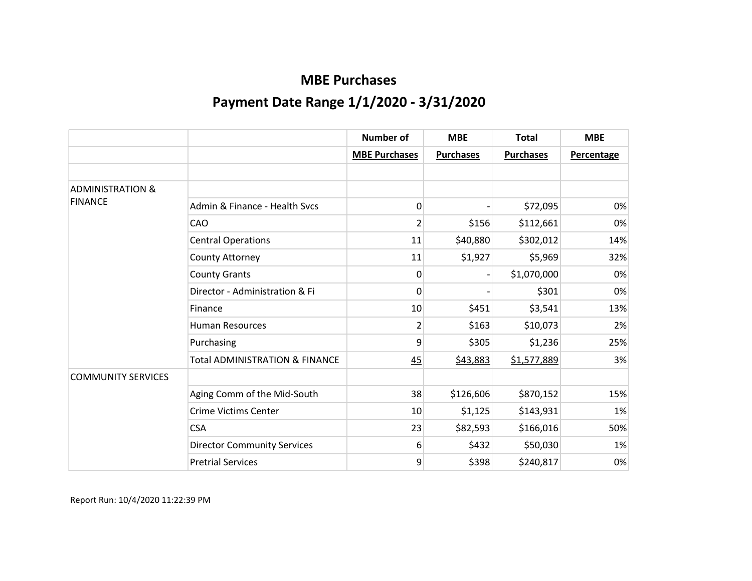|                             |                                           | <b>Number of</b>     | <b>MBE</b>       | <b>Total</b>     | <b>MBE</b>        |
|-----------------------------|-------------------------------------------|----------------------|------------------|------------------|-------------------|
|                             |                                           | <b>MBE Purchases</b> | <b>Purchases</b> | <b>Purchases</b> | <b>Percentage</b> |
|                             |                                           |                      |                  |                  |                   |
| <b>ADMINISTRATION &amp;</b> |                                           |                      |                  |                  |                   |
| <b>FINANCE</b>              | Admin & Finance - Health Svcs             | 0                    |                  | \$72,095         | 0%                |
|                             | CAO                                       | $\overline{2}$       | \$156            | \$112,661        | 0%                |
|                             | <b>Central Operations</b>                 | 11                   | \$40,880         | \$302,012        | 14%               |
|                             | County Attorney                           | 11                   | \$1,927          | \$5,969          | 32%               |
|                             | <b>County Grants</b>                      | 0                    |                  | \$1,070,000      | 0%                |
|                             | Director - Administration & Fi            | 0                    |                  | \$301            | 0%                |
|                             | Finance                                   | 10                   | \$451            | \$3,541          | 13%               |
|                             | <b>Human Resources</b>                    | $\overline{2}$       | \$163            | \$10,073         | 2%                |
|                             | Purchasing                                | 9                    | \$305            | \$1,236          | 25%               |
|                             | <b>Total ADMINISTRATION &amp; FINANCE</b> | 45                   | \$43,883         | \$1,577,889      | 3%                |
| <b>COMMUNITY SERVICES</b>   |                                           |                      |                  |                  |                   |
|                             | Aging Comm of the Mid-South               | 38                   | \$126,606        | \$870,152        | 15%               |
|                             | <b>Crime Victims Center</b>               | 10                   | \$1,125          | \$143,931        | 1%                |
|                             | <b>CSA</b>                                | 23                   | \$82,593         | \$166,016        | 50%               |
|                             | <b>Director Community Services</b>        | 6                    | \$432            | \$50,030         | 1%                |
|                             | <b>Pretrial Services</b>                  | 9                    | \$398            | \$240,817        | 0%                |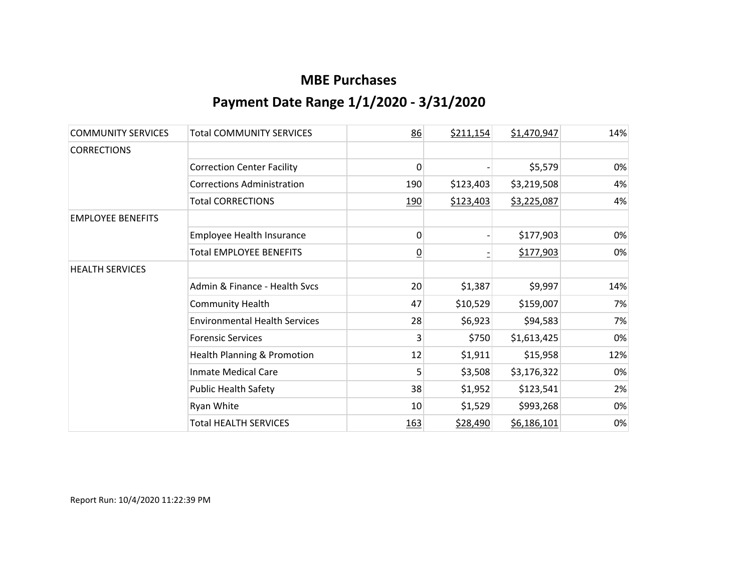| <b>COMMUNITY SERVICES</b> | <b>Total COMMUNITY SERVICES</b>        | 86             | \$211,154 | \$1,470,947 | 14% |
|---------------------------|----------------------------------------|----------------|-----------|-------------|-----|
| <b>CORRECTIONS</b>        |                                        |                |           |             |     |
|                           | <b>Correction Center Facility</b>      | 0              |           | \$5,579     | 0%  |
|                           | <b>Corrections Administration</b>      | 190            | \$123,403 | \$3,219,508 | 4%  |
|                           | <b>Total CORRECTIONS</b>               | 190            | \$123,403 | \$3,225,087 | 4%  |
| <b>EMPLOYEE BENEFITS</b>  |                                        |                |           |             |     |
|                           | Employee Health Insurance              | 0              |           | \$177,903   | 0%  |
|                           | <b>Total EMPLOYEE BENEFITS</b>         | $\overline{0}$ |           | \$177,903   | 0%  |
| <b>HEALTH SERVICES</b>    |                                        |                |           |             |     |
|                           | Admin & Finance - Health Svcs          | 20             | \$1,387   | \$9,997     | 14% |
|                           | <b>Community Health</b>                | 47             | \$10,529  | \$159,007   | 7%  |
|                           | <b>Environmental Health Services</b>   | 28             | \$6,923   | \$94,583    | 7%  |
|                           | <b>Forensic Services</b>               | 3              | \$750     | \$1,613,425 | 0%  |
|                           | <b>Health Planning &amp; Promotion</b> | 12             | \$1,911   | \$15,958    | 12% |
|                           | <b>Inmate Medical Care</b>             | 5              | \$3,508   | \$3,176,322 | 0%  |
|                           | <b>Public Health Safety</b>            | 38             | \$1,952   | \$123,541   | 2%  |
|                           | Ryan White                             | 10             | \$1,529   | \$993,268   | 0%  |
|                           | <b>Total HEALTH SERVICES</b>           | <u>163</u>     | \$28,490  | \$6,186,101 | 0%  |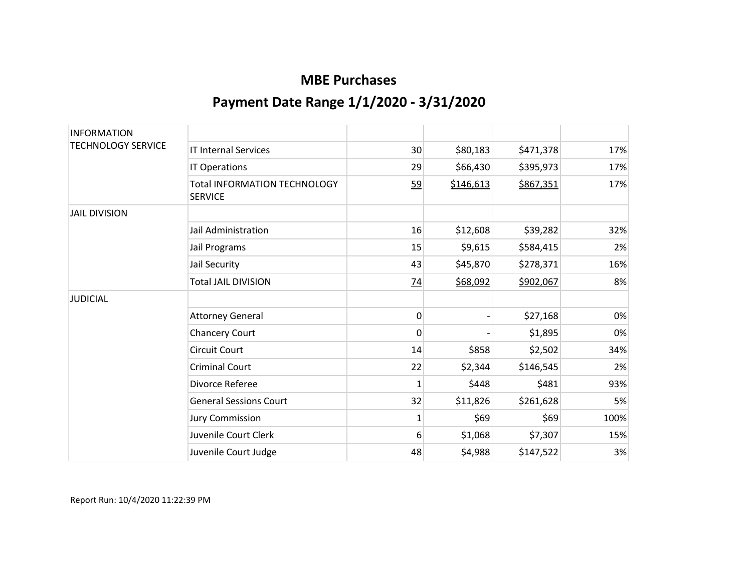| <b>INFORMATION</b>        |                                                       |                 |           |           |      |
|---------------------------|-------------------------------------------------------|-----------------|-----------|-----------|------|
| <b>TECHNOLOGY SERVICE</b> | <b>IT Internal Services</b>                           | 30              | \$80,183  | \$471,378 | 17%  |
|                           | IT Operations                                         | 29              | \$66,430  | \$395,973 | 17%  |
|                           | <b>Total INFORMATION TECHNOLOGY</b><br><b>SERVICE</b> | 59              | \$146,613 | \$867,351 | 17%  |
| <b>JAIL DIVISION</b>      |                                                       |                 |           |           |      |
|                           | Jail Administration                                   | 16              | \$12,608  | \$39,282  | 32%  |
|                           | Jail Programs                                         | 15              | \$9,615   | \$584,415 | 2%   |
|                           | Jail Security                                         | 43              | \$45,870  | \$278,371 | 16%  |
|                           | <b>Total JAIL DIVISION</b>                            | $\overline{74}$ | \$68,092  | \$902,067 | 8%   |
| <b>JUDICIAL</b>           |                                                       |                 |           |           |      |
|                           | <b>Attorney General</b>                               | 0               |           | \$27,168  | 0%   |
|                           | <b>Chancery Court</b>                                 | $\mathbf{0}$    |           | \$1,895   | 0%   |
|                           | <b>Circuit Court</b>                                  | 14              | \$858     | \$2,502   | 34%  |
|                           | <b>Criminal Court</b>                                 | 22              | \$2,344   | \$146,545 | 2%   |
|                           | Divorce Referee                                       | 1               | \$448     | \$481     | 93%  |
|                           | <b>General Sessions Court</b>                         | 32              | \$11,826  | \$261,628 | 5%   |
|                           | <b>Jury Commission</b>                                | 1               | \$69      | \$69      | 100% |
|                           | Juvenile Court Clerk                                  | 6               | \$1,068   | \$7,307   | 15%  |
|                           | Juvenile Court Judge                                  | 48              | \$4,988   | \$147,522 | 3%   |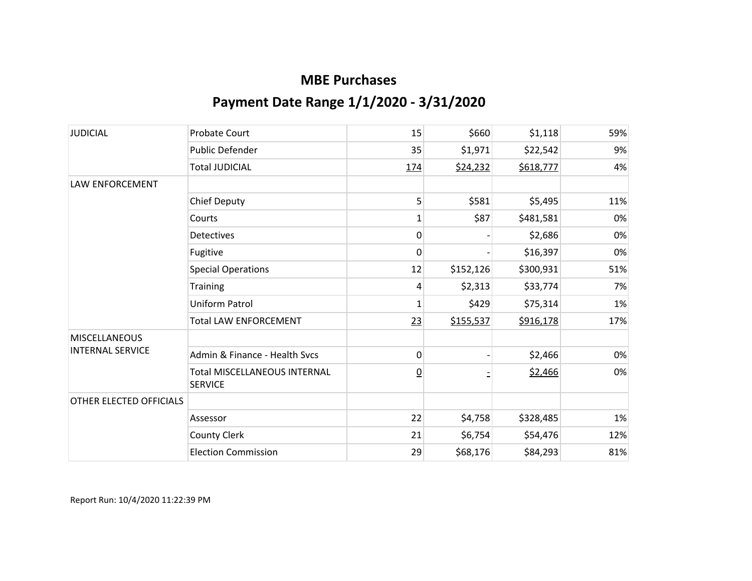| <b>JUDICIAL</b>         | <b>Probate Court</b>                                  | 15              | \$660     | \$1,118   | 59% |
|-------------------------|-------------------------------------------------------|-----------------|-----------|-----------|-----|
|                         | <b>Public Defender</b>                                | 35              | \$1,971   | \$22,542  | 9%  |
|                         | <b>Total JUDICIAL</b>                                 | <u>174</u>      | \$24,232  | \$618,777 | 4%  |
| LAW ENFORCEMENT         |                                                       |                 |           |           |     |
|                         | <b>Chief Deputy</b>                                   | 5               | \$581     | \$5,495   | 11% |
|                         | Courts                                                | $\mathbf{1}$    | \$87      | \$481,581 | 0%  |
|                         | <b>Detectives</b>                                     | 0               |           | \$2,686   | 0%  |
|                         | Fugitive                                              | 0               |           | \$16,397  | 0%  |
|                         | <b>Special Operations</b>                             | 12              | \$152,126 | \$300,931 | 51% |
|                         | <b>Training</b>                                       | 4               | \$2,313   | \$33,774  | 7%  |
|                         | <b>Uniform Patrol</b>                                 | 1               | \$429     | \$75,314  | 1%  |
|                         | <b>Total LAW ENFORCEMENT</b>                          | 23              | \$155,537 | \$916,178 | 17% |
| <b>MISCELLANEOUS</b>    |                                                       |                 |           |           |     |
| <b>INTERNAL SERVICE</b> | Admin & Finance - Health Svcs                         | 0               |           | \$2,466   | 0%  |
|                         | <b>Total MISCELLANEOUS INTERNAL</b><br><b>SERVICE</b> | $\underline{0}$ |           | \$2,466   | 0%  |
| OTHER ELECTED OFFICIALS |                                                       |                 |           |           |     |
|                         | Assessor                                              | 22              | \$4,758   | \$328,485 | 1%  |
|                         | <b>County Clerk</b>                                   | 21              | \$6,754   | \$54,476  | 12% |
|                         | <b>Election Commission</b>                            | 29              | \$68,176  | \$84,293  | 81% |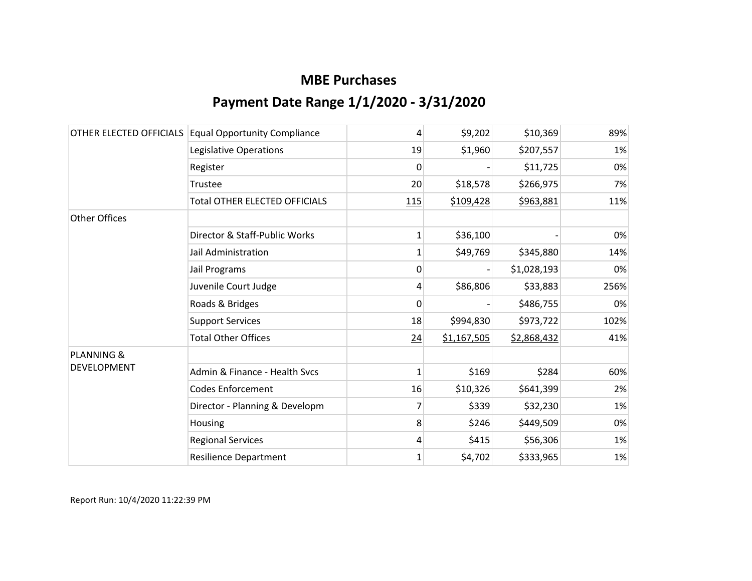| OTHER ELECTED OFFICIALS | <b>Equal Opportunity Compliance</b>  | 4            | \$9,202     | \$10,369    | 89%  |
|-------------------------|--------------------------------------|--------------|-------------|-------------|------|
|                         | Legislative Operations               | 19           | \$1,960     | \$207,557   | 1%   |
|                         | Register                             | 0            |             | \$11,725    | 0%   |
|                         | Trustee                              | 20           | \$18,578    | \$266,975   | 7%   |
|                         | <b>Total OTHER ELECTED OFFICIALS</b> | 115          | \$109,428   | \$963,881   | 11%  |
| <b>Other Offices</b>    |                                      |              |             |             |      |
|                         | Director & Staff-Public Works        | 1            | \$36,100    |             | 0%   |
|                         | Jail Administration                  | 1            | \$49,769    | \$345,880   | 14%  |
|                         | Jail Programs                        | 0            |             | \$1,028,193 | 0%   |
|                         | Juvenile Court Judge                 | 4            | \$86,806    | \$33,883    | 256% |
|                         | Roads & Bridges                      | 0            |             | \$486,755   | 0%   |
|                         | <b>Support Services</b>              | 18           | \$994,830   | \$973,722   | 102% |
|                         | <b>Total Other Offices</b>           | 24           | \$1,167,505 | \$2,868,432 | 41%  |
| <b>PLANNING &amp;</b>   |                                      |              |             |             |      |
| <b>DEVELOPMENT</b>      | Admin & Finance - Health Svcs        | $\mathbf{1}$ | \$169       | \$284       | 60%  |
|                         | <b>Codes Enforcement</b>             | 16           | \$10,326    | \$641,399   | 2%   |
|                         | Director - Planning & Developm       | 7            | \$339       | \$32,230    | 1%   |
|                         | Housing                              | 8            | \$246       | \$449,509   | 0%   |
|                         | <b>Regional Services</b>             | 4            | \$415       | \$56,306    | 1%   |
|                         | <b>Resilience Department</b>         | $\mathbf{1}$ | \$4,702     | \$333,965   | 1%   |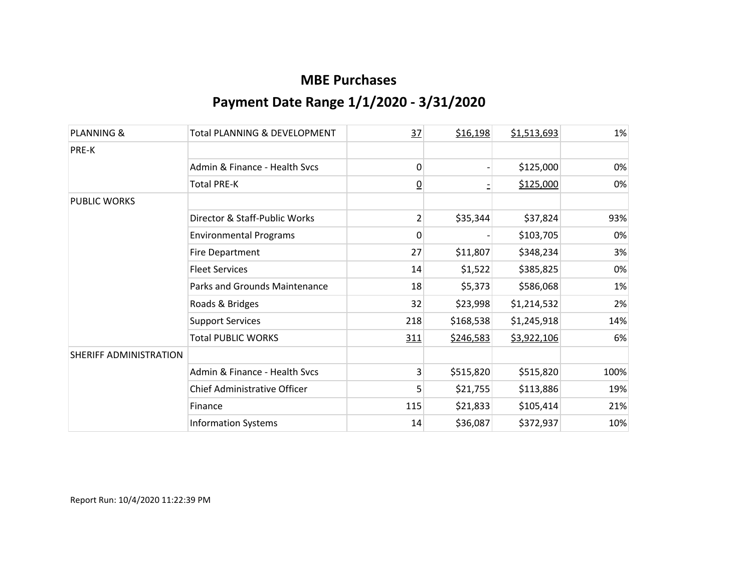| PLANNING &             | <b>Total PLANNING &amp; DEVELOPMENT</b> | 37              | \$16,198  | \$1,513,693 | 1%    |
|------------------------|-----------------------------------------|-----------------|-----------|-------------|-------|
| PRE-K                  |                                         |                 |           |             |       |
|                        | Admin & Finance - Health Sycs           | 0               |           | \$125,000   | $0\%$ |
|                        | <b>Total PRE-K</b>                      | $\underline{0}$ |           | \$125,000   | 0%    |
| PUBLIC WORKS           |                                         |                 |           |             |       |
|                        | Director & Staff-Public Works           | $\overline{2}$  | \$35,344  | \$37,824    | 93%   |
|                        | <b>Environmental Programs</b>           | 0               |           | \$103,705   | 0%    |
|                        | <b>Fire Department</b>                  | 27              | \$11,807  | \$348,234   | 3%    |
|                        | <b>Fleet Services</b>                   | 14              | \$1,522   | \$385,825   | 0%    |
|                        | Parks and Grounds Maintenance           | 18              | \$5,373   | \$586,068   | 1%    |
|                        | Roads & Bridges                         | 32              | \$23,998  | \$1,214,532 | 2%    |
|                        | <b>Support Services</b>                 | 218             | \$168,538 | \$1,245,918 | 14%   |
|                        | <b>Total PUBLIC WORKS</b>               | 311             | \$246,583 | \$3,922,106 | 6%    |
| SHERIFF ADMINISTRATION |                                         |                 |           |             |       |
|                        | Admin & Finance - Health Svcs           | 3               | \$515,820 | \$515,820   | 100%  |
|                        | Chief Administrative Officer            | 5               | \$21,755  | \$113,886   | 19%   |
|                        | Finance                                 | 115             | \$21,833  | \$105,414   | 21%   |
|                        | <b>Information Systems</b>              | 14              | \$36,087  | \$372,937   | 10%   |